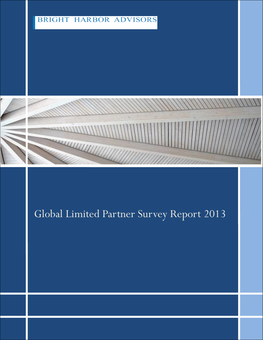# **BRIGHT HARBOR ADVISORS**





# Global Limited Partner Survey Report 2013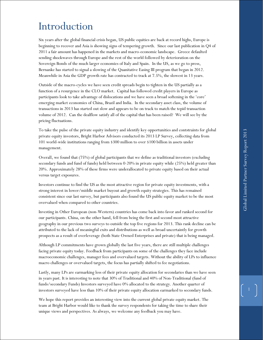# Introduction

Six years after the global financial crisis began, US public equities are back at record highs, Europe is beginning to recover and Asia is showing signs of tempering growth. Since our last publication in Q4 of 2011 a fair amount has happened in the markets and macro-economic landscape. Greece defaulted sending shockwaves through Europe and the rest of the world followed by deterioration on the Sovereign Bonds of the much larger economies of Italy and Spain. In the US, as we go to press, Bernanke has started to signal a slowing of the Quanitative Easing III program that began in 2012. Meanwhile in Asia the GDP growth rate has contracted to track at 7.5%, the slowest in 13 years.

Outside of the macro-cycles we have seen credit spreads begin to tighten in the US partially as a function of a resurgence in the CLO market. Capital has followed credit players in Europe as participants look to take advantage of dislocations and we have seen a broad softening in the 'core' emerging market economies of China, Brazil and India. In the secondary asset class, the volume of transactions in 2013 has started out slow and appears to be on track to match the tepid transaction volume of 2012. Can the dealflow satisfy all of the capital that has been raised? We will see by the pricing fluctuations.

To take the pulse of the private equity industry and identify key opportunities and contstraints for global private equity investors, Bright Harbor Advisors conducted its 2013 LP Survey, collecting data from 101 world-wide institutions ranging from \$300 million to over \$100 billion in assets under management.

Overall, we found that (75%) of global participants that we define as traditional investors (excluding secondary funds and fund of funds) held between 0-20% in private equity while (25%) held greater than 20%. Approximately 28% of these firms were underallocated to private equity based on their actual versus target exposures.

Investors continue to find the US as the most attractive region for private equity investments, with a strong interest in lower/middle market buyout and growth equity strategies. This has remained consistent since our last survey, but participants also found the US public equity market to be the most overvalued when compared to other countries.

Investing in Other European (non-Western) countries has come back into favor and ranked second for our participants. China, on the other hand, fell from being the first and second most attractive geography in our previous two surveys to outside the top five regions for 2013. This rank decline can be attributed to the lack of meaningful exits and distributions as well as broad uncertaintly for growth prospects as a result of overleverage (both State Owned Enterprises and private) that is being managed.

Although LP commitments have grown globally the last five years, there are still multiple challenges facing private equity today. Feedback from participants on some of the challenges they face include macroeconomic challenges, manager fees and overvalued targets. Without the ability of LPs to influence macro challenges or overvalued targets, the focus has partially shifted to fee negotiations.

Lastly, many LPs are earmarking less of their private equity allocation for secondaries than we have seen in years past. It is interesting to note that 30% of Traditional and 40% of Non-Traditional (fund of funds/secondary Funds) Investors surveyed have 0% allocated to the strategy. Another quarter of investors surveyed have less than 10% of their private equity allocation earmarked to secondary funds.

We hope this report provides an interesting view into the current global private equity market. The team at Bright Harbor would like to thank the survey respondents for taking the time to share their unique views and perspectives. As always, we welcome any feedback you may have.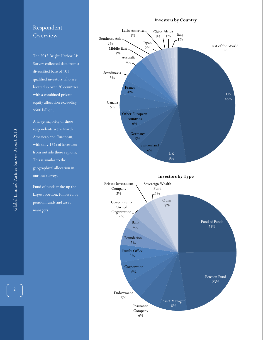#### **Investors by Country**

# Respondent **Overview**

The 2013 Bright Harbor LP Survey collected data from a diversified base of 101 qualified investors who are located in over 20 countries with a combined private equity allocation exceeding \$500 billion.

A large majority of these respondents were North American and European, with only 16% of investors from outside these regions. This is similar to the geographical allocation in our last survey.

Fund of funds make up the largest portion, followed by pension funds and asset managers.



 $\begin{bmatrix} 2 \end{bmatrix}$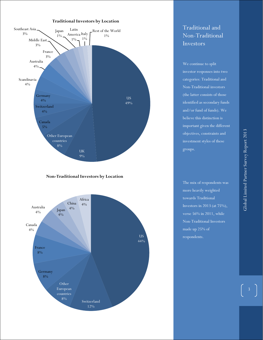#### **Traditional Investors by Location**



#### **Non-Traditional Investors by Location**



# Traditional and Non-Traditional Investors

We continue to split investor responses into two categories: Traditional and Non-Traditional investors (the latter consists of those identified as secondary funds and/or fund of funds). We believe this distinction is important given the different objectives, constraints and investment styles of these groups.

The mix of respondents was more heavily weighted towards Traditional Investors in 2013 (at 75%), verse 56% in 2011, while Non-Traditional Investors made up 25% of respondents.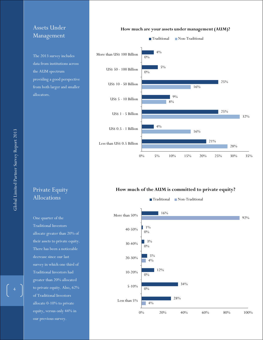### Assets Under Management

The 2013 survey includes data from institutions across the AUM spectrum providing a good perspective from both larger and smaller allocators.

# Private Equity Allocations

One quarter of the Traditional Investors allocate greater than 20% of their assets to private equity. There has been a noticeable decrease since our last survey in which one third of Traditional Investors had greater than 20% allocated to private equity. Also, 62% of Traditional Investors allocate 0-10% to private equity, versus only 44% in our previous survey.

#### **How much are your assets under management (AUM)?**



#### **How much of the AUM is committed to private equity?**

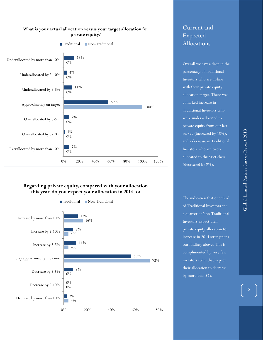

#### **What is your actual allocation versus your target allocation for private equity?**

#### **Regarding private equity, compared with your allocation this year, do you expect your allocation in 2014 to:**



# Current and Expected Allocations

Overall we saw a drop in the percentage of Traditional Investors who are in-line with their private equity allocation target. There was a marked increase in Traditional Investors who were under-allocated to private equity from our last survey (increased by 10%), and a decrease in Traditional Investors who are overallocated to the asset class (decreased by 9%).

The indication that one third of Traditional Investors and a quarter of Non-Traditional Investors expect their private equity allocation to increase in 2014 strengthens our findings above. This is complimented by very few investors (3%) that expect their allocation to decrease by more than 5%.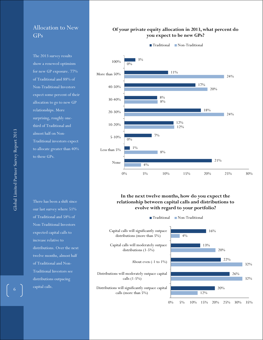### Allocation to New GPs

The 2013 survey results show a renewed optimism for new GP exposure. 77% of Traditional and 88% of Non-Traditional Investors expect some percent of their allocation to go to new GP relationships. More surprising, roughly onethird of Traditional and almost half on Non-Traditional investors expect to allocate greater than 40% to these GPs.

There has been a shift since our last survey where 51% of Traditional and 58% of Non-Traditional Investors expected capital calls to increase relative to distributions. Over the next twelve months, almost half of Traditional and Non-Traditional Investors see distributions outpacing capital calls.

### **Of your private equity allocation in 2013, what percent do you expect to be new GPs?**



### **In the next twelve months, how do you expect the relationship between capital calls and distributions to evolve with regard to your portfolio?**

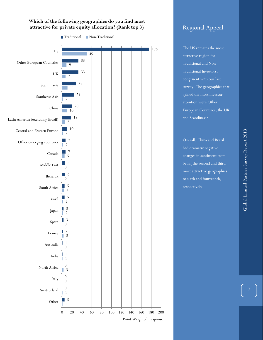### **Which of the following geographies do you find most attractive for private equity allocation? (Rank top 3)**



# Regional Appeal

The US remains the most attractive region for Traditional and Non-Traditional Investors, congruent with our last survey. The geographies that gained the most investor attention were Other European Countries, the UK and Scandinavia.

Overall, China and Brazil had dramatic negative changes in sentiment from being the second and third most attractive geographies to sixth and fourteenth, respectively.

7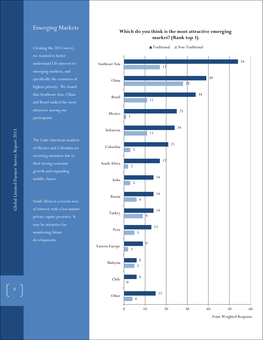### Emerging Markets

Creating the 2013 survey, we wanted to better understand LPs interest to emerging markets, and  $\frac{1}{2}$  specifically the countries of  $\cdot$ <br>highest priority. We found that Southeast Asia, China and Brazil ranked the most attractive among our **charge** participants.<br>Participants. Emerging Markets<br>
Creating the 2013 survey,<br>
we wanted to better<br>
understand LPs interest to<br>
emerging markets, and<br>
specifically the countries of<br>
highest priority. We found<br>
that Southeast Asia, China<br>
and Brazil ranked

<u>r</u><br>The Letin American merk from the contraction contracts.<br>Standard Colombia are receiving attention due to their strong economic growth and expanding  $\hspace{0.1mm}$ middle classes. The Latin American markets of Mexico and Colombia are

South Affica is a fecent afea of interest with a fess mature may be attractive for monitoring future developments. of interest with a less mature private equity presence. It South Africa is a recent area

### **Which do you think is the most attractive emerging market? (Rank top 3)**



Point Weighted Response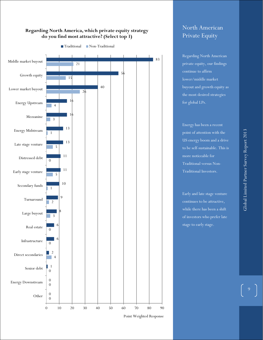### **Regarding North America, which private equity strategy do you find most attractive? (Select top 3)**



Traditional Non-Traditional

# North American Private Equity

**Regarding North American** the number of  $\frac{1}{2}$  continue to affirm traditional LPs who deem it the most desired strategies private equity, our findings lower/middle market buyout and growth equity as for global LPs.

Energy has been a recent point of attention with the US energy boom and a drive to be self-sustainable. This is more noticeable for **the more** Traditional versus Non-Traditional Investors.

Early and late stage venture continues to be attractive, while there has been a shift of investors who prefer late stage to early stage.

and  $\alpha$  percentage points of  $p$ 

Point Weighted Response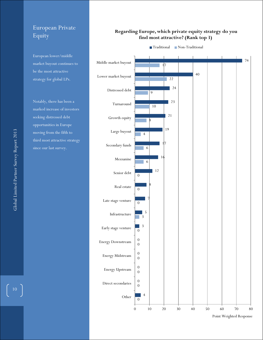# European Private Equity

European lower/middle market buyout continues to be the most attractive strategy for global LPs.

Notably, there has been a marked increase of investors seeking distressed debt opportunities in Europe moving from the fifth to third most attractive strategy since our last survey.

### **Regarding Europe, which private equity strategy do you find most attractive? (Rank top 3)**



Point Weighted Response

 $\begin{bmatrix} 10 \end{bmatrix}$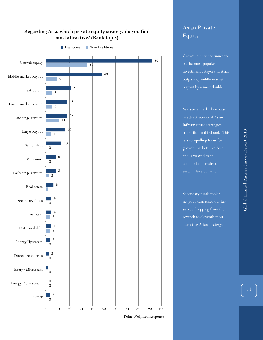

### **Regarding Asia, which private equity strategy do you find most attractive? (Rank top 3)**

Point Weighted Response

# Asian Private Equity

Growth equity continues to be the most popular investment category in Asia, outpacing middle market buyout by almost double.

We saw a marked increase in attractiveness of Asian Infrastructure strategies from fifth to third rank. This is a compelling focus for growth markets like Asia and is viewed as an sustain development.

Secondary funds took a negative turn since our last survey dropping from the seventh to eleventh most attractive Asian strategy.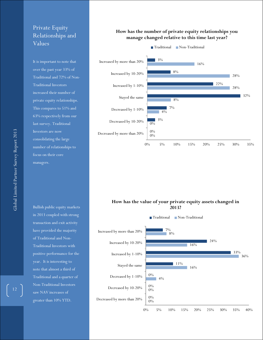### Private Equity Relationships and Values

It is important to note that over the past year 33% of Traditional and 72% of Non-Traditional Investors increased their number of private equity relationships. This compares to 51% and 63% respectively from our last survey. Traditional Investors are now consolidating the large number of relationships to focus on their core managers.

Bullish public equity markets in 2013 coupled with strong transaction and exit activity have provided the majority of Traditional and Non-Traditional Investors with positive performance for the year. It is interesting to note that almost a third of Traditional and a quarter of Non-Traditional Investors saw NAV increases of greater than 10% YTD.

#### **How has the number of private equity relationships you manage changed relative to this time last year?**



#### **How has the value of your private equity assets changed in 2013?**

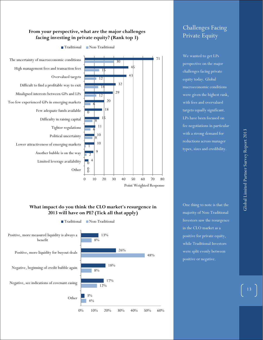### **From your perspective, what are the major challenges facing investing in private equity? (Rank top 3)**



Traditional Non-Traditional

Point Weighted Response

### **What impact do you think the CLO market's resurgence in 2013 will have on PE? (Tick all that apply)**



One thing to note is that the majority of Non-Traditional Investors saw the resurgence in the CLO market as a positive for private equity, while Traditional Investors were split evenly between positive or negative.

# Challenges Facing Private Equity

We wanted to get LPs perspective on the major challenges facing private equity today. Global macroeconomic conditions were given the highest rank, with fees and overvalued targets equally significant. LPs have been focused on fee negotiations in particular with a strong demand for reductions across manager types, sizes and credibility.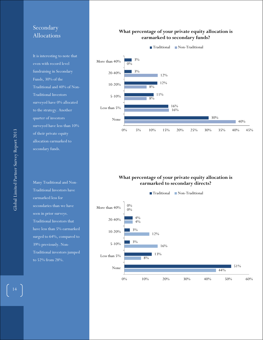### Secondary Allocations

It is interesting to note that even with record level fundraising in Secondary Funds, 30% of the Traditional and 40% of Non-Traditional Investors surveyed have 0% allocated to the strategy. Another quarter of investors surveyed have less than 10% of their private equity allocation earmarked to secondary funds.

Many Traditional and Non-Traditional Investors have earmarked less for secondaries than we have seen in prior surveys. Traditional Investors that have less than 5% earmarked surged to 64%, compared to 39% previously. Non-Traditional investors jumped to 52% from 28%.

### **What percentage of your private equity allocation is earmarked to secondary funds?**



### **What percentage of your private equity allocation is earmarked to secondary directs?**



 $\begin{bmatrix} 14 \end{bmatrix}$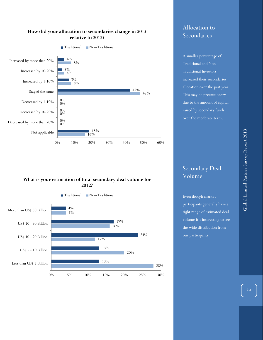

### **How did your allocation to secondaries change in 2013 relative to 2012?**

### **What is your estimation of total secondary deal volume for 2012?**



### Allocation to Secondaries

A smaller percentage of Traditional and Non-Traditional Investors increased their secondaries allocation over the past year. This may be precautionary due to the amount of capital raised by secondary funds over the moderate term.

### Secondary Deal Volume

Even though market participants generally have a tight range of estimated deal volume it's interesting to see the wide distribution from our participants.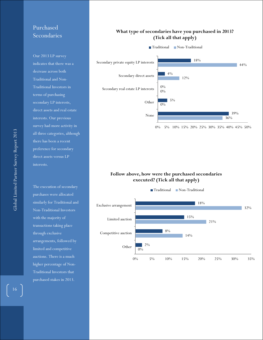# Purchased Secondaries

interests. Our previous survey had more activity in all three categories, although there has been a recent to the main document. It  $\int$ interests. Our 2013 LP survey indicates that there was a decrease across both Traditional and Non-Traditional Investors in terms of purchasing secondary LP interests, direct assets and real estate preference for secondary direct assets versus LP

The execution of secondary purchases were allocated with the majority of similarly for Traditional and Non-Traditional Investors transactions taking place through exclusive arrangements, followed by limited and competitive auctions. There is a much higher percentage of Non-Traditional Investors that purchased stakes in 2013.

#### **What type of secondaries have you purchased in 2013? (Tick all that apply)**



0% 5% 10% 15% 20% 25% 30% 35% 40% 45% 50%

#### **Follow above, how were the purchased secondaries executed? (Tick all that apply)**

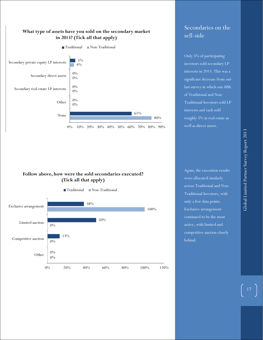

### Secondaries on the sell-side

Only 5% of participating investors sold secondary LP interests in 2013. This was a significant decrease from our last survey in which one fifth of Traditional and Non-Traditional Investors sold LP interests and each sold roughly 5% in real estate as well as direct assets.

### **Follow above, how were the sold secondaries executed? (Tick all that apply)**



Again, the execution results were allocated similarly across Traditional and Non-Traditional Investors, with only a few data points. Exclusive arrangement continued to be the most active, with limited and competitive auction closely behind.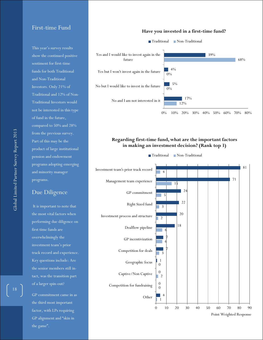### First-time Fund

This year's survey results show the continued positive sentiment for first-time funds for both Traditional and Non-Traditional Investors. Only 21% of Traditional and 12% of Non-Traditional Investors would not be interested in this type of fund in the future, compared to 50% and 28% from the previous survey. Part of this may be the product of large institutional pension and endowment programs adopting emerging and minority manager programs.

### Due Diligence

It is important to note that the most vital factors when performing due diligence on first time funds are overwhelmingly the investment team's prior track record and experience. Key questions include: Are the senior members still intact, was the transition part of a larger spin-out?

GP commitment came in as the third most important factor, with LPs requiring GP alignment and "skin in the game".

#### **Have you invested in a first-time fund?**



0% 10% 20% 30% 40% 50% 60% 70% 80%

### **Regarding first-time fund, what are the important factors in making an investment decision? (Rank top 3)**

Traditional Non-Traditional



Point Weighted Response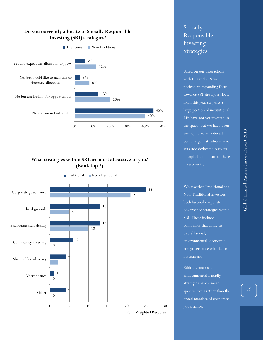

### **What strategies within SRI are most attractive to you? (Rank top 2)**



Socially Responsible Investing Strategies

Based on our interactions with LPs and GPs we noticed an expanding focus towards SRI strategies. Data from this year suggests a large portion of institutional LPs have not yet invested in the space, but we have been seeing increased interest. Some large institutions have set aside dedicated buckets of capital to allocate to these investments.

We saw that Traditional and Non-Traditional investors both favored corporate governance strategies within SRI. These include companies that abide to overall social, and governance criteria for investment.

Ethical grounds and environmental friendly strategies have a more specific focus rather than the broad mandate of corporate governance.

19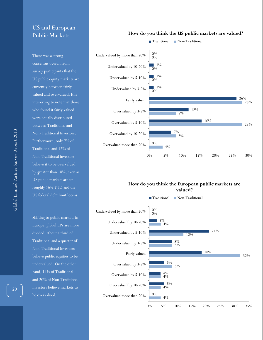### US and European Public Markets

There was a strong consensus overall from survey participants that the US public equity markets are currently between fairly valued and overvalued. It is interesting to note that those who found it fairly valued were equally distributed between Traditional and Non-Traditional Investors. Furthermore, only 7% of Traditional and 12% of Non-Traditional investors believe it to be overvalued by greater than 10%, even as US public markets are up roughly 16% YTD and the US federal debt limit looms.

Shifting to public markets in Europe, global LPs are more divided. About a third of Traditional and a quarter of Non-Traditional Investors believe public equities to be undervalued. On the other hand, 14% of Traditional and 20% of Non-Traditional Investors believe markets to be overvalued.

#### **How do you think the US public markets are valued?**



#### **How do you think the European public markets are valued?**



20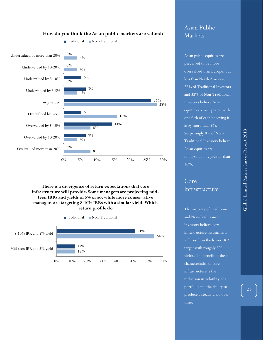

#### **How do you think the Asian public markets are valued?**

#### **There is a divergence of return expectations that core infrastructure will provide. Some managers are projecting midteen IRRs and yields of 5% or so, while more conservative managers are targeting 8-10% IRRs with a similar yield. Which return profile do**



### Asian Public Markets

Asian public equities are perceived to be more overvalued than Europe, but less than North America. 26% of Traditional Investors and 32% of Non-Traditional Investors believe Asian equities are overpriced with one fifth of each believing it is by more than 5%. Surprisingly 8% of Non-Traditional Investors believe Asian equities are undervalued by greater than 10%.

# Core Infrastructure

The majority of Traditional and Non-Traditional Investors believe core infrastructure investments will result in the lower IRR target with roughly 5% yields. The benefit of these characteristics of core infrastructure is the reduction in volatility of a portfolio and the ability to produce a steady yield over time.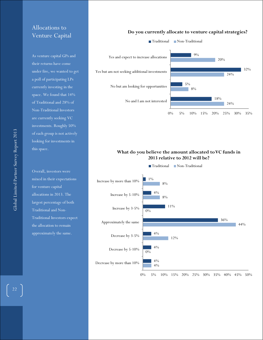### Allocations to Venture Capital

As venture capital GPs and their returns have come under fire, we wanted to get a poll of participating LPs currently investing in the space. We found that 14% of Traditional and 28% of Non-Traditional Investors are currently seeking VC investments. Roughly 50% of each group is not actively looking for investments in this space.

Overall, investors were mixed in their expectations for venture capital allocations in 2013. The largest percentage of both Traditional and Non-Traditional Investors expect the allocation to remain approximately the same.

#### **Do you currently allocate to venture capital strategies?**



### **What do you believe the amount allocated to VC funds in 2013 relative to 2012 will be?**



Global Limited Partner Survey Report 2013

Global Limited Partner Survey Report 2013

 $\begin{bmatrix} 22 \end{bmatrix}$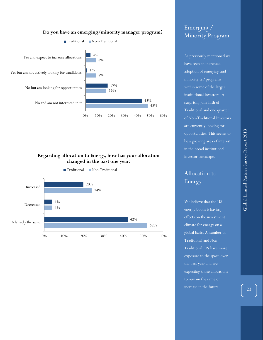

#### **Do you have an emerging/minority manager program?**





# Emerging / Minority Program

As previously mentioned we have seen an increased adoption of emerging and minority GP programs within some of the larger institutional investors. A surprising one fifth of Traditional and one quarter of Non-Traditional Investors are currently looking for opportunities. This seems to be a growing area of interest in the broad institutional investor landscape.

# Allocation to Energy

We believe that the US energy boom is having effects on the investment climate for energy on a global basis. A number of Traditional and Non-Traditional LPs have more exposure to the space over the past year and are expecting those allocations to remain the same or increase in the future.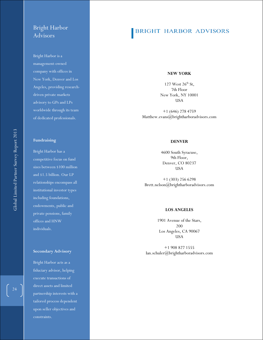### Bright Harbor Advisors

Bright Harbor is a management -owned company with offices in New York, Denver and Los Angeles, providing research driven private markets advisory to GPs and LPs worldwide through its team of dedicated professionals.

#### **Fundraising**

Bright Harbor has a competitive focus on fund sizes between \$100 million and \$1.5 billion. Our LP relationships encompass all institutional investor types including foundations, endowments, public and private pension s, family offices and HNW individuals.

#### **Secondary Advisory**

Bright Harbor acts as a fiduciary advisor, helping execute transactions of direct assets and limited partnership interests with a tailored process dependent upon seller objectives and constraints.

### **BRIGHT HARBOR ADVISORS**

#### **NEW YORK**

 $127$  West  $26^{\text{th}}$  St, 7th Floor New York , NY 10001 USA

+1 (646) 278 4759 Matthew.evans@brightharboradvisors.com

#### **DENVER**

4600 South Syracuse, 9th Floor, Denver, CO 80237 USA

+1 (303) 256 6298 Brett.nelson@brightharboradvisors.com

#### **LOS ANGELES**

1901 Avenue of the Stars, 200 Los Angeles, CA 90067 USA

+1 908 827 1555 Ian.schuler@brightharboradvisors.com

 $\begin{bmatrix} 24 \end{bmatrix}$